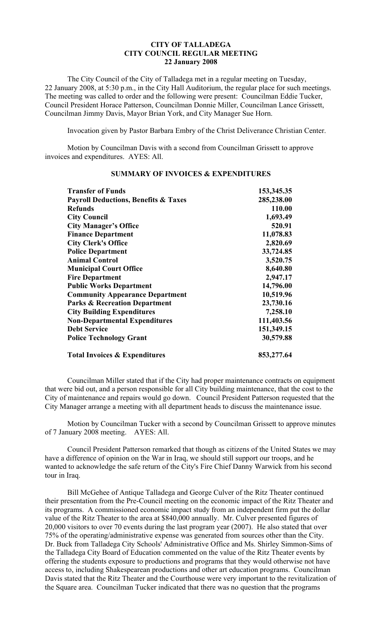## **CITY OF TALLADEGA CITY COUNCIL REGULAR MEETING 22 January 2008**

The City Council of the City of Talladega met in a regular meeting on Tuesday, 22 January 2008, at 5:30 p.m., in the City Hall Auditorium, the regular place for such meetings. The meeting was called to order and the following were present: Councilman Eddie Tucker, Council President Horace Patterson, Councilman Donnie Miller, Councilman Lance Grissett, Councilman Jimmy Davis, Mayor Brian York, and City Manager Sue Horn.

Invocation given by Pastor Barbara Embry of the Christ Deliverance Christian Center.

Motion by Councilman Davis with a second from Councilman Grissett to approve invoices and expenditures. AYES: All.

| <b>Transfer of Funds</b>                        | 153,345.35 |
|-------------------------------------------------|------------|
| <b>Payroll Deductions, Benefits &amp; Taxes</b> | 285,238.00 |
| Refunds                                         | 110.00     |
| <b>City Council</b>                             | 1,693.49   |
| <b>City Manager's Office</b>                    | 520.91     |
| <b>Finance Department</b>                       | 11,078.83  |
| <b>City Clerk's Office</b>                      | 2,820.69   |
| <b>Police Department</b>                        | 33,724.85  |
| <b>Animal Control</b>                           | 3,520.75   |
| <b>Municipal Court Office</b>                   | 8,640.80   |
| <b>Fire Department</b>                          | 2,947.17   |
| <b>Public Works Department</b>                  | 14,796.00  |
| <b>Community Appearance Department</b>          | 10,519.96  |
| <b>Parks &amp; Recreation Department</b>        | 23,730.16  |
| <b>City Building Expenditures</b>               | 7,258.10   |
| <b>Non-Departmental Expenditures</b>            | 111,403.56 |
| <b>Debt Service</b>                             | 151,349.15 |
| <b>Police Technology Grant</b>                  | 30,579.88  |
| <b>Total Invoices &amp; Expenditures</b>        | 853,277.64 |

## **SUMMARY OF INVOICES & EXPENDITURES**

Councilman Miller stated that if the City had proper maintenance contracts on equipment that were bid out, and a person responsible for all City building maintenance, that the cost to the City of maintenance and repairs would go down. Council President Patterson requested that the City Manager arrange a meeting with all department heads to discuss the maintenance issue.

Motion by Councilman Tucker with a second by Councilman Grissett to approve minutes of 7 January 2008 meeting. AYES: All.

Council President Patterson remarked that though as citizens of the United States we may have a difference of opinion on the War in Iraq, we should still support our troops, and he wanted to acknowledge the safe return of the City's Fire Chief Danny Warwick from his second tour in Iraq.

Bill McGehee of Antique Talladega and George Culver of the Ritz Theater continued their presentation from the Pre-Council meeting on the economic impact of the Ritz Theater and its programs. A commissioned economic impact study from an independent firm put the dollar value of the Ritz Theater to the area at \$840,000 annually. Mr. Culver presented figures of 20,000 visitors to over 70 events during the last program year (2007). He also stated that over 75% of the operating/administrative expense was generated from sources other than the City. Dr. Buck from Talladega City Schools' Administrative Office and Ms. Shirley Simmon-Sims of the Talladega City Board of Education commented on the value of the Ritz Theater events by offering the students exposure to productions and programs that they would otherwise not have access to, including Shakespearean productions and other art education programs. Councilman Davis stated that the Ritz Theater and the Courthouse were very important to the revitalization of the Square area. Councilman Tucker indicated that there was no question that the programs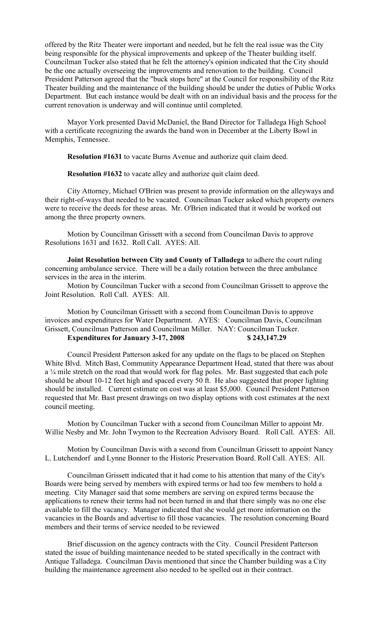offered by the Ritz Theater were important and needed, but he felt the real issue was the City being responsible for the physical improvements and upkeep of the Theater building itself. Councilman Tucker also stated that he felt the attorney's opinion indicated that the City should be the one actually overseeing the improvements and renovation to the building. Council President Patterson agreed that the "buck stops here" at the Council for responsibility of the Ritz Theater building and the maintenance of the building should be under the duties of Public Works Department. But each instance would be dealt with on an individual basis and the process for the current renovation is underway and will continue until completed.

Mayor York presented David McDaniel, the Band Director for Talladega High School with a certificate recognizing the awards the band won in December at the Liberty Bowl in Memphis, Tennessee.

**Resolution #1631** to vacate Burns Avenue and authorize quit claim deed.

**Resolution #1632** to vacate alley and authorize quit claim deed.

City Attorney, Michael O'Brien was present to provide information on the alleyways and their right-of-ways that needed to be vacated. Councilman Tucker asked which property owners were to receive the deeds for these areas. Mr. O'Brien indicated that it would be worked out among the three property owners.

Motion by Councilman Grissett with a second from Councilman Davis to approve Resolutions 1631 and 1632. Roll Call. AYES: All.

**Joint Resolution between City and County of Talladega** to adhere the court ruling concerning ambulance service. There will be a daily rotation between the three ambulance services in the area in the interim.

Motion by Councilman Tucker with a second from Councilman Grissett to approve the Joint Resolution. Roll Call. AYES: All.

Motion by Councilman Grissett with a second from Councilman Davis to approve invoices and expenditures for Water Department. AYES: Councilman Davis, Councilman Grissett, Councilman Patterson and Councilman Miller. NAY: Councilman Tucker. **Expenditures for January 3-17, 2008 \$ 243,147.29** 

Council President Patterson asked for any update on the flags to be placed on Stephen White Blvd. Mitch Bast, Community Appearance Department Head, stated that there was about a ¼ mile stretch on the road that would work for flag poles. Mr. Bast suggested that each pole should be about 10-12 feet high and spaced every 50 ft. He also suggested that proper lighting should be installed. Current estimate on cost was at least \$5,000. Council President Patterson requested that Mr. Bast present drawings on two display options with cost estimates at the next council meeting.

Motion by Councilman Tucker with a second from Councilman Miller to appoint Mr. Willie Nesby and Mr. John Twymon to the Recreation Advisory Board. Roll Call. AYES: All.

Motion by Councilman Davis with a second from Councilman Grissett to appoint Nancy L. Lutchendorf and Lynne Bonner to the Historic Preservation Board. Roll Call. AYES: All.

Councilman Grissett indicated that it had come to his attention that many of the City's Boards were being served by members with expired terms or had too few members to hold a meeting. City Manager said that some members are serving on expired terms because the applications to renew their terms had not been turned in and that there simply was no one else available to fill the vacancy. Manager indicated that she would get more information on the vacancies in the Boards and advertise to fill those vacancies. The resolution concerning Board members and their terms of service needed to be reviewed

Brief discussion on the agency contracts with the City. Council President Patterson stated the issue of building maintenance needed to be stated specifically in the contract with Antique Talladega. Councilman Davis mentioned that since the Chamber building was a City building the maintenance agreement also needed to be spelled out in their contract.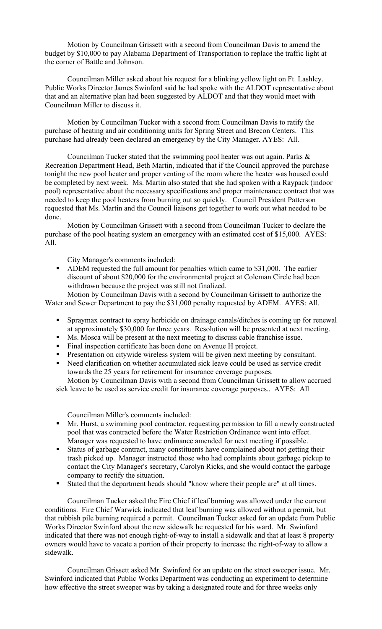Motion by Councilman Grissett with a second from Councilman Davis to amend the budget by \$10,000 to pay Alabama Department of Transportation to replace the traffic light at the corner of Battle and Johnson.

Councilman Miller asked about his request for a blinking yellow light on Ft. Lashley. Public Works Director James Swinford said he had spoke with the ALDOT representative about that and an alternative plan had been suggested by ALDOT and that they would meet with Councilman Miller to discuss it.

Motion by Councilman Tucker with a second from Councilman Davis to ratify the purchase of heating and air conditioning units for Spring Street and Brecon Centers. This purchase had already been declared an emergency by the City Manager. AYES: All.

Councilman Tucker stated that the swimming pool heater was out again. Parks & Recreation Department Head, Beth Martin, indicated that if the Council approved the purchase tonight the new pool heater and proper venting of the room where the heater was housed could be completed by next week. Ms. Martin also stated that she had spoken with a Raypack (indoor pool) representative about the necessary specifications and proper maintenance contract that was needed to keep the pool heaters from burning out so quickly. Council President Patterson requested that Ms. Martin and the Council liaisons get together to work out what needed to be done.

Motion by Councilman Grissett with a second from Councilman Tucker to declare the purchase of the pool heating system an emergency with an estimated cost of \$15,000. AYES: All.

City Manager's comments included:

 ADEM requested the full amount for penalties which came to \$31,000. The earlier discount of about \$20,000 for the environmental project at Coleman Circle had been withdrawn because the project was still not finalized.

Motion by Councilman Davis with a second by Councilman Grissett to authorize the Water and Sewer Department to pay the \$31,000 penalty requested by ADEM. AYES: All.

- Spraymax contract to spray herbicide on drainage canals/ditches is coming up for renewal at approximately \$30,000 for three years. Resolution will be presented at next meeting.
- Ms. Mosca will be present at the next meeting to discuss cable franchise issue.
- Final inspection certificate has been done on Avenue H project.
- **Presentation on citywide wireless system will be given next meeting by consultant.**
- Need clarification on whether accumulated sick leave could be used as service credit towards the 25 years for retirement for insurance coverage purposes.

Motion by Councilman Davis with a second from Councilman Grissett to allow accrued sick leave to be used as service credit for insurance coverage purposes.. AYES: All

Councilman Miller's comments included:

- Mr. Hurst, a swimming pool contractor, requesting permission to fill a newly constructed pool that was contracted before the Water Restriction Ordinance went into effect. Manager was requested to have ordinance amended for next meeting if possible.
- Status of garbage contract, many constituents have complained about not getting their trash picked up. Manager instructed those who had complaints about garbage pickup to contact the City Manager's secretary, Carolyn Ricks, and she would contact the garbage company to rectify the situation.
- Stated that the department heads should "know where their people are" at all times.

Councilman Tucker asked the Fire Chief if leaf burning was allowed under the current conditions. Fire Chief Warwick indicated that leaf burning was allowed without a permit, but that rubbish pile burning required a permit. Councilman Tucker asked for an update from Public Works Director Swinford about the new sidewalk he requested for his ward. Mr. Swinford indicated that there was not enough right-of-way to install a sidewalk and that at least 8 property owners would have to vacate a portion of their property to increase the right-of-way to allow a sidewalk.

Councilman Grissett asked Mr. Swinford for an update on the street sweeper issue. Mr. Swinford indicated that Public Works Department was conducting an experiment to determine how effective the street sweeper was by taking a designated route and for three weeks only